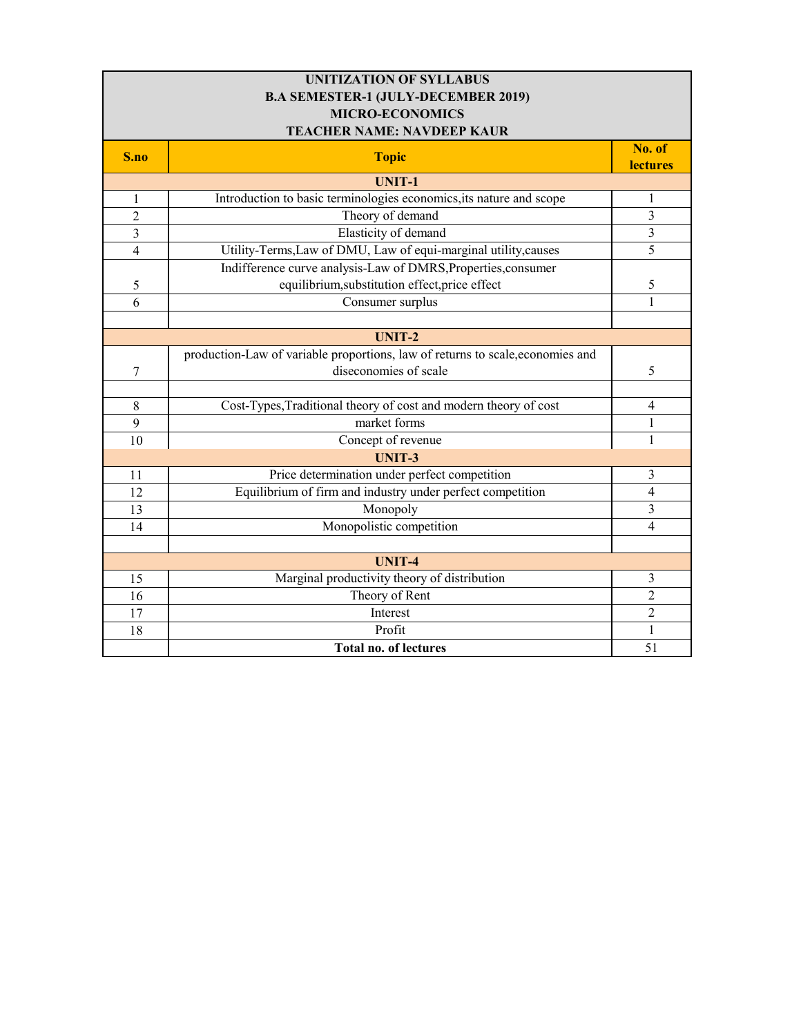| <b>UNITIZATION OF SYLLABUS</b>             |                                                                                |                           |
|--------------------------------------------|--------------------------------------------------------------------------------|---------------------------|
| <b>B.A SEMESTER-1 (JULY-DECEMBER 2019)</b> |                                                                                |                           |
| <b>MICRO-ECONOMICS</b>                     |                                                                                |                           |
|                                            | <b>TEACHER NAME: NAVDEEP KAUR</b>                                              |                           |
| S.no                                       | <b>Topic</b>                                                                   | No. of<br><b>lectures</b> |
|                                            | <b>UNIT-1</b>                                                                  |                           |
| 1                                          | Introduction to basic terminologies economics, its nature and scope            | 1                         |
| $\overline{2}$                             | Theory of demand                                                               | 3                         |
| 3                                          | Elasticity of demand                                                           | $\overline{3}$            |
| $\overline{4}$                             | Utility-Terms, Law of DMU, Law of equi-marginal utility, causes                | 5                         |
|                                            | Indifference curve analysis-Law of DMRS, Properties, consumer                  |                           |
| 5                                          | equilibrium, substitution effect, price effect                                 | 5                         |
| 6                                          | Consumer surplus                                                               | $\mathbf{1}$              |
|                                            |                                                                                |                           |
|                                            | <b>UNIT-2</b>                                                                  |                           |
|                                            | production-Law of variable proportions, law of returns to scale, economies and |                           |
| 7                                          | diseconomies of scale                                                          | 5                         |
|                                            |                                                                                |                           |
| 8                                          | Cost-Types, Traditional theory of cost and modern theory of cost               | $\overline{4}$            |
| 9                                          | market forms                                                                   | $\mathbf{1}$              |
| 10                                         | Concept of revenue                                                             | 1                         |
|                                            | <b>UNIT-3</b>                                                                  |                           |
| 11                                         | Price determination under perfect competition                                  | 3                         |
| 12                                         | Equilibrium of firm and industry under perfect competition                     | $\overline{4}$            |
| 13                                         | Monopoly                                                                       | 3                         |
| 14                                         | Monopolistic competition                                                       | $\overline{4}$            |
|                                            |                                                                                |                           |
|                                            | <b>UNIT-4</b>                                                                  |                           |
| 15                                         | Marginal productivity theory of distribution                                   | 3                         |
| 16                                         | Theory of Rent                                                                 | 2                         |
| 17                                         | Interest                                                                       | $\overline{c}$            |
| 18                                         | Profit                                                                         | 1                         |
|                                            | <b>Total no. of lectures</b>                                                   | 51                        |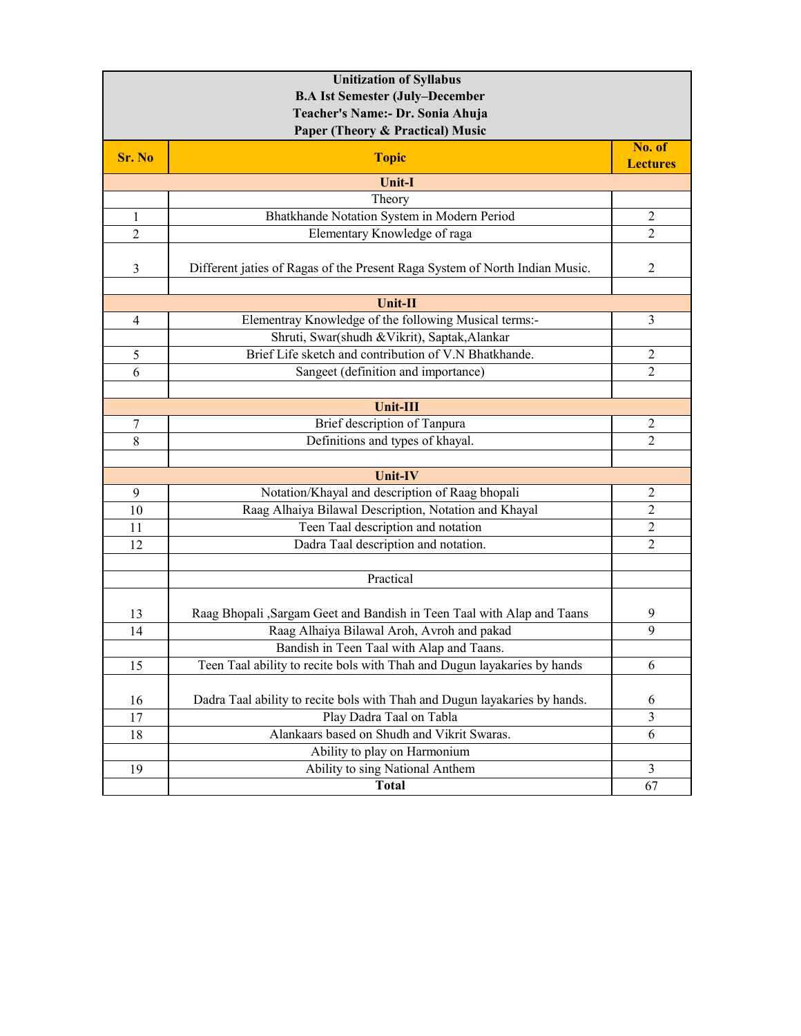| <b>Unitization of Syllabus</b><br><b>B.A Ist Semester (July-December</b> |                                                                             |                           |
|--------------------------------------------------------------------------|-----------------------------------------------------------------------------|---------------------------|
|                                                                          | Teacher's Name:- Dr. Sonia Ahuja                                            |                           |
|                                                                          | Paper (Theory & Practical) Music                                            |                           |
| Sr. No                                                                   | <b>Topic</b>                                                                | No. of<br><b>Lectures</b> |
|                                                                          | <b>Unit-I</b>                                                               |                           |
|                                                                          | Theory                                                                      |                           |
| $\mathbf{1}$                                                             | Bhatkhande Notation System in Modern Period                                 | 2                         |
| $\overline{2}$                                                           | Elementary Knowledge of raga                                                | 2                         |
| 3                                                                        | Different jaties of Ragas of the Present Raga System of North Indian Music. | 2                         |
|                                                                          | Unit-II                                                                     |                           |
| 4                                                                        | Elementray Knowledge of the following Musical terms:-                       | 3                         |
|                                                                          | Shruti, Swar(shudh & Vikrit), Saptak, Alankar                               |                           |
| 5                                                                        | Brief Life sketch and contribution of V.N Bhatkhande.                       | $\overline{2}$            |
| 6                                                                        | Sangeet (definition and importance)                                         | $\overline{2}$            |
|                                                                          |                                                                             |                           |
|                                                                          | <b>Unit-III</b>                                                             |                           |
| 7                                                                        | Brief description of Tanpura                                                | 2                         |
| 8                                                                        | Definitions and types of khayal.                                            | $\overline{2}$            |
|                                                                          |                                                                             |                           |
|                                                                          | <b>Unit-IV</b>                                                              |                           |
| 9                                                                        | Notation/Khayal and description of Raag bhopali                             | $\overline{c}$            |
| 10                                                                       | Raag Alhaiya Bilawal Description, Notation and Khayal                       | $\overline{2}$            |
| 11                                                                       | Teen Taal description and notation                                          | $\overline{2}$            |
| 12                                                                       | Dadra Taal description and notation.                                        | $\overline{2}$            |
|                                                                          |                                                                             |                           |
|                                                                          | Practical                                                                   |                           |
| 13                                                                       | Raag Bhopali , Sargam Geet and Bandish in Teen Taal with Alap and Taans     | 9                         |
| 14                                                                       | Raag Alhaiya Bilawal Aroh, Avroh and pakad                                  | 9                         |
|                                                                          | Bandish in Teen Taal with Alap and Taans.                                   |                           |
| 15                                                                       | Teen Taal ability to recite bols with Thah and Dugun layakaries by hands    | 6                         |
|                                                                          |                                                                             |                           |
| 16                                                                       | Dadra Taal ability to recite bols with Thah and Dugun layakaries by hands.  | 6                         |
| 17                                                                       | Play Dadra Taal on Tabla                                                    | 3                         |
| 18                                                                       | Alankaars based on Shudh and Vikrit Swaras.                                 | 6                         |
|                                                                          | Ability to play on Harmonium                                                |                           |
| 19                                                                       | Ability to sing National Anthem                                             | 3                         |
|                                                                          | <b>Total</b>                                                                | 67                        |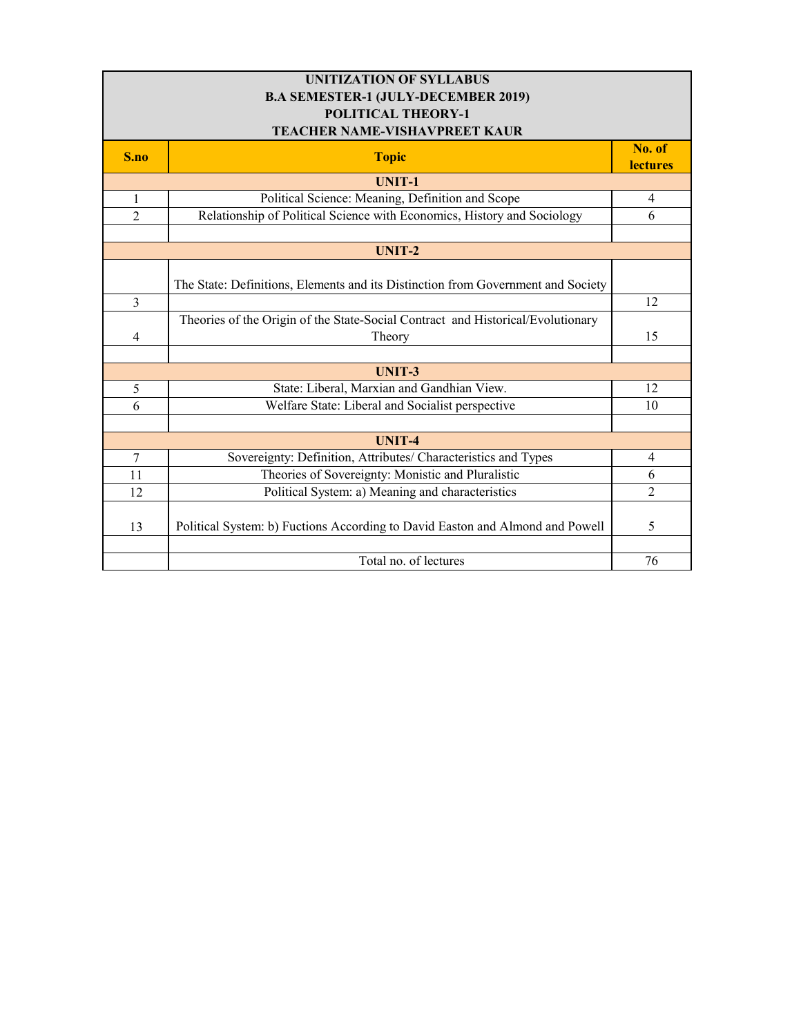| <b>UNITIZATION OF SYLLABUS</b>             |                                                                                  |                           |
|--------------------------------------------|----------------------------------------------------------------------------------|---------------------------|
| <b>B.A SEMESTER-1 (JULY-DECEMBER 2019)</b> |                                                                                  |                           |
| <b>POLITICAL THEORY-1</b>                  |                                                                                  |                           |
|                                            | <b>TEACHER NAME-VISHAVPREET KAUR</b>                                             |                           |
| S.no                                       | <b>Topic</b>                                                                     | No. of<br><b>lectures</b> |
|                                            | <b>UNIT-1</b>                                                                    |                           |
| 1                                          | Political Science: Meaning, Definition and Scope                                 | 4                         |
| $\overline{2}$                             | Relationship of Political Science with Economics, History and Sociology          | 6                         |
|                                            |                                                                                  |                           |
|                                            | <b>UNIT-2</b>                                                                    |                           |
|                                            | The State: Definitions, Elements and its Distinction from Government and Society |                           |
| $\overline{3}$                             |                                                                                  | 12                        |
|                                            | Theories of the Origin of the State-Social Contract and Historical/Evolutionary  |                           |
| 4                                          | Theory                                                                           | 15                        |
|                                            |                                                                                  |                           |
|                                            | <b>UNIT-3</b>                                                                    |                           |
| 5                                          | State: Liberal, Marxian and Gandhian View.                                       | 12                        |
| 6                                          | Welfare State: Liberal and Socialist perspective                                 | 10                        |
|                                            |                                                                                  |                           |
|                                            | <b>UNIT-4</b>                                                                    |                           |
| $\tau$                                     | Sovereignty: Definition, Attributes/ Characteristics and Types                   | $\overline{4}$            |
| 11                                         | Theories of Sovereignty: Monistic and Pluralistic                                | 6                         |
| 12                                         | Political System: a) Meaning and characteristics                                 | $\overline{2}$            |
| 13                                         | Political System: b) Fuctions According to David Easton and Almond and Powell    | 5                         |
|                                            |                                                                                  |                           |
|                                            | Total no. of lectures                                                            | 76                        |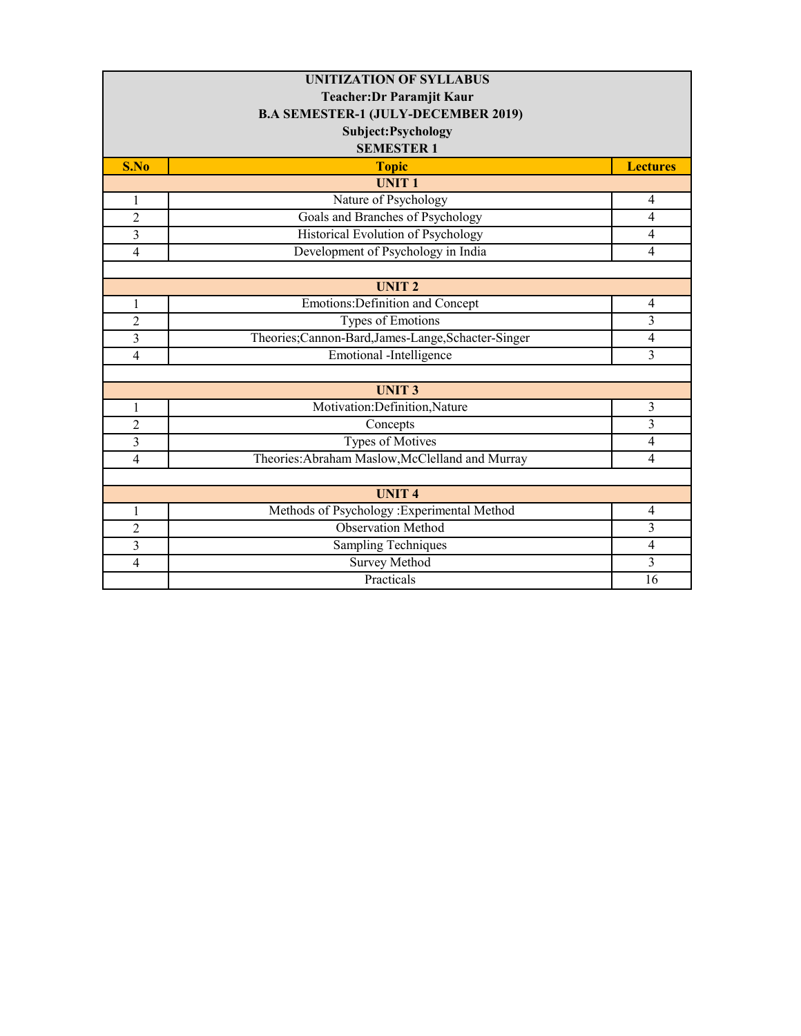| <b>UNITIZATION OF SYLLABUS</b>   |                                                  |                 |  |
|----------------------------------|--------------------------------------------------|-----------------|--|
| <b>Teacher: Dr Paramjit Kaur</b> |                                                  |                 |  |
|                                  | <b>B.A SEMESTER-1 (JULY-DECEMBER 2019)</b>       |                 |  |
|                                  | Subject: Psychology                              |                 |  |
|                                  | <b>SEMESTER 1</b>                                |                 |  |
| S.No                             | <b>Topic</b>                                     | <b>Lectures</b> |  |
|                                  | <b>UNIT1</b>                                     |                 |  |
| $\mathbf{1}$                     | Nature of Psychology                             | $\overline{4}$  |  |
| $\overline{2}$                   | Goals and Branches of Psychology                 | 4               |  |
| $\overline{\mathbf{3}}$          | Historical Evolution of Psychology               | $\overline{4}$  |  |
| 4                                | Development of Psychology in India               | $\overline{4}$  |  |
|                                  |                                                  |                 |  |
|                                  | <b>UNIT 2</b>                                    |                 |  |
| 1                                | Emotions: Definition and Concept                 | $\overline{4}$  |  |
| $\overline{2}$                   | Types of Emotions                                | 3               |  |
| $\overline{3}$                   | Theories;Cannon-Bard,James-Lange,Schacter-Singer | $\overline{4}$  |  |
| $\overline{4}$                   | Emotional -Intelligence                          | 3               |  |
|                                  |                                                  |                 |  |
|                                  | <b>UNIT3</b>                                     |                 |  |
| $\mathbf{1}$                     | Motivation:Definition,Nature                     | 3               |  |
| $\overline{c}$                   | Concepts                                         | 3               |  |
| 3                                | <b>Types of Motives</b>                          | $\overline{4}$  |  |
| $\overline{4}$                   | Theories: Abraham Maslow, McClelland and Murray  | $\overline{4}$  |  |
|                                  |                                                  |                 |  |
|                                  | <b>UNIT4</b>                                     |                 |  |
| $\mathbf{1}$                     | Methods of Psychology :Experimental Method       | $\overline{4}$  |  |
| $\overline{2}$                   | <b>Observation Method</b>                        | 3               |  |
| 3                                | <b>Sampling Techniques</b>                       | $\overline{4}$  |  |
| $\overline{4}$                   | <b>Survey Method</b>                             | 3               |  |
|                                  | Practicals                                       | 16              |  |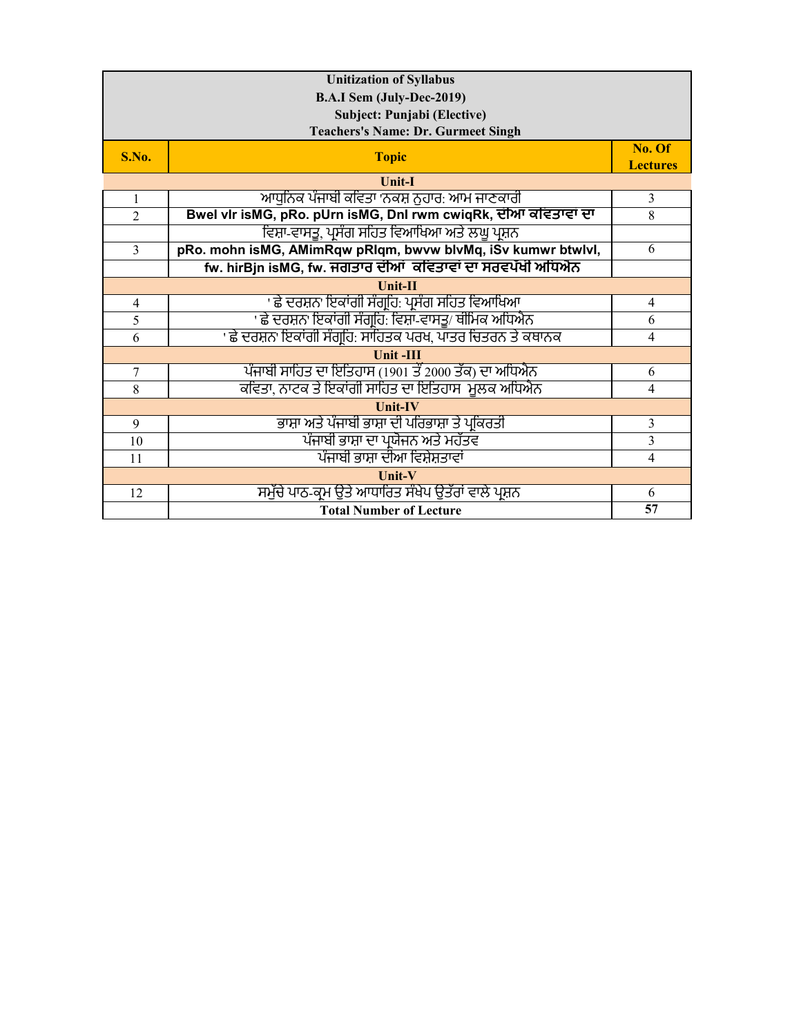| <b>Unitization of Syllabus</b> |                                                                |                 |
|--------------------------------|----------------------------------------------------------------|-----------------|
| B.A.I Sem (July-Dec-2019)      |                                                                |                 |
|                                | Subject: Punjabi (Elective)                                    |                 |
|                                | <b>Teachers's Name: Dr. Gurmeet Singh</b>                      |                 |
| S.No.                          | <b>Topic</b>                                                   | No. Of          |
|                                |                                                                | <b>Lectures</b> |
|                                | <b>Unit-I</b>                                                  |                 |
| $\mathbf{1}$                   | ਆਧਨਿਕ ਪੰਜਾਬੀ ਕਵਿਤਾ 'ਨਕਸ਼ ਨਹਾਰ: ਆਮ ਜਾਣਕਾਰੀ                      | 3               |
| $\mathfrak{D}$                 | Bwel vlr isMG, pRo. pUrn isMG, Dnl rwm cwiqRk, ਦੀਆ ਕਵਿਤਾਵਾਂ ਦਾ | 8               |
|                                | ਵਿਸ਼ਾ-ਵਾਸਤੂ, ਪਸੰਗ ਸਹਿਤ ਵਿਆਖਿਆ ਅਤੇ ਲਘੂ ਪਸ਼ਨ                     |                 |
| $\overline{3}$                 | pRo. mohn isMG, AMimRqw pRIqm, bwvw blvMq, iSv kumwr btwlvl,   | 6               |
|                                | fw. hirBjn isMG, fw. ਜਗਤਾਰ ਦੀਆਂ ਕਵਿਤਾਵਾਂ ਦਾ ਸਰਵਪੱਖੀ ਅਧਿਐਨ      |                 |
|                                | $Unit-II$                                                      |                 |
| $\overline{4}$                 | ' ਛੇ ਦਰਸ਼ਨ' ਇਕਾਂਗੀ ਸੰਗ੍ਰਹਿ: ਪ੍ਰਸੰਗ ਸਹਿਤ ਵਿਆਖਿਆ                 | 4               |
| 5                              | ' ਛੇ ਦਰਸ਼ਨ' ਇਕਾਂਗੀ ਸੰਗਹਿ: ਵਿਸ਼ਾ-ਵਾਸਤੂ/ ਥੀਮਿਕ ਅਧਿਐਨ             | 6               |
| 6                              | ' ਛੇ ਦਰਸ਼ਨ' ਇਕਾਂਗੀ ਸੰਗਹਿ: ਸਾਹਿਤਕ ਪਰਖ, ਪਾਤਰ ਚਿਤਰਨ ਤੇ ਕਥਾਨਕ      | $\overline{4}$  |
|                                | <b>Unit-III</b>                                                |                 |
| $\tau$                         | ਪੰਜਾਬੀ ਸਾਹਿਤ ਦਾ ਇਤਿਹਾਸ (1901 ਤੋਂ 2000 ਤੱਕ) ਦਾ ਅਧਿਐਨ            | 6               |
| 8                              | ਕਵਿਤਾ, ਨਾਟਕ ਤੇ ਇਕਾਂਗੀ ਸਾਹਿਤ ਦਾ ਇਤਿਹਾਸ-ਮੁਲਕ ਅਧਿਐਨ               | $\overline{4}$  |
|                                | <b>Unit-IV</b>                                                 |                 |
| 9                              | ਭਾਸ਼ਾ ਅਤੇ ਪੰਜਾਬੀ ਭਾਸ਼ਾ ਦੀ ਪਰਿਭਾਸ਼ਾ ਤੇ ਪ੍ਰਕਿਰਤੀ                 | $\overline{3}$  |
| 10                             | ਪੰਜਾਬੀ ਭਾਸ਼ਾ ਦਾ ਪ੍ਰਯੋਜਨ ਅਤੇ ਮਹੱਤਵ                              | $\overline{3}$  |
| 11                             | ਪੰਜਾਬੀ ਭਾਸ਼ਾ ਦੀਆ ਵਿਸ਼ੇਸ਼ਤਾਵਾਂ                                  | $\overline{4}$  |
| Unit-V                         |                                                                |                 |
| 12                             | ਸਮੱਚੇ ਪਾਠ-ਕਮ ਉਤੇ ਆਧਾਰਿਤ ਸੰਖੇਪ ਉਤੱਰਾਂ ਵਾਲੇ ਪ੍ਰਸ਼ਨ               | 6               |
|                                | <b>Total Number of Lecture</b>                                 | 57              |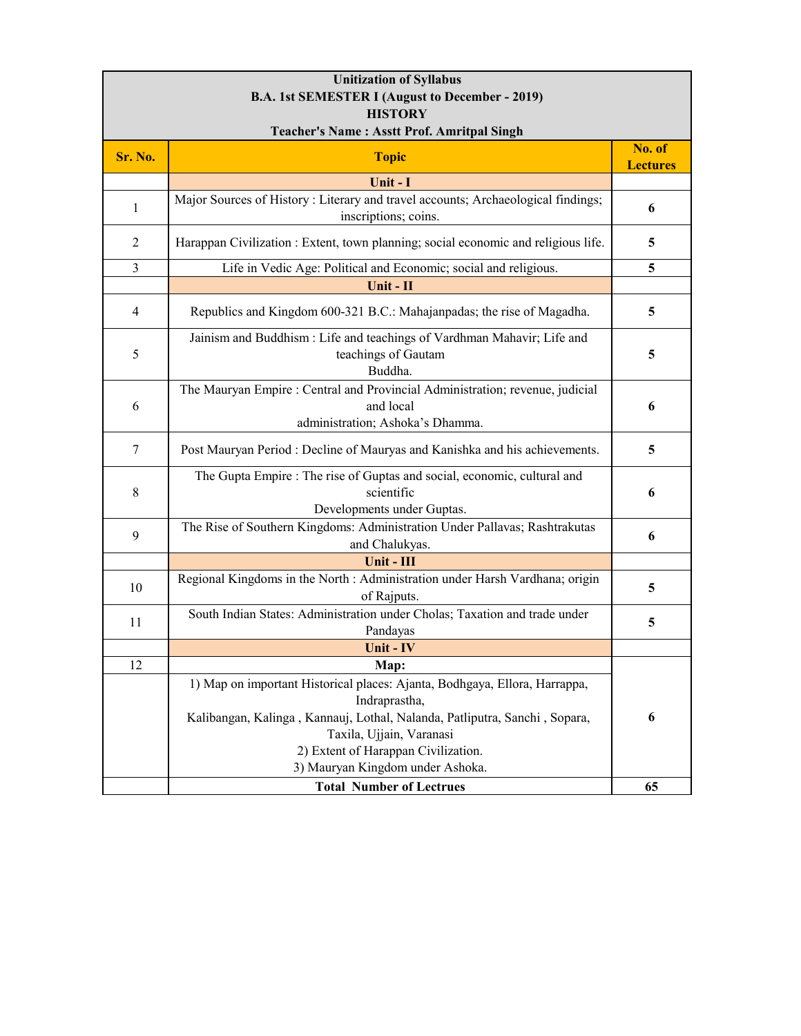| <b>Unitization of Syllabus</b>                         |                                                                                                                                                                                                                                              |                           |
|--------------------------------------------------------|----------------------------------------------------------------------------------------------------------------------------------------------------------------------------------------------------------------------------------------------|---------------------------|
| <b>B.A. 1st SEMESTER I (August to December - 2019)</b> |                                                                                                                                                                                                                                              |                           |
| <b>HISTORY</b>                                         |                                                                                                                                                                                                                                              |                           |
| <b>Teacher's Name: Asstt Prof. Amritpal Singh</b>      |                                                                                                                                                                                                                                              |                           |
| Sr. No.                                                | <b>Topic</b>                                                                                                                                                                                                                                 | No. of<br><b>Lectures</b> |
|                                                        | Unit - I                                                                                                                                                                                                                                     |                           |
| 1                                                      | Major Sources of History : Literary and travel accounts; Archaeological findings;<br>inscriptions; coins.                                                                                                                                    | 6                         |
| $\overline{2}$                                         | Harappan Civilization : Extent, town planning; social economic and religious life.                                                                                                                                                           | 5                         |
| 3                                                      | Life in Vedic Age: Political and Economic; social and religious.                                                                                                                                                                             | 5                         |
|                                                        | Unit - II                                                                                                                                                                                                                                    |                           |
| $\overline{4}$                                         | Republics and Kingdom 600-321 B.C.: Mahajanpadas; the rise of Magadha.                                                                                                                                                                       | 5                         |
| 5                                                      | Jainism and Buddhism : Life and teachings of Vardhman Mahavir; Life and<br>teachings of Gautam<br>Buddha.                                                                                                                                    | 5                         |
| 6                                                      | The Mauryan Empire : Central and Provincial Administration; revenue, judicial<br>and local<br>administration; Ashoka's Dhamma.                                                                                                               | 6                         |
| 7                                                      | Post Mauryan Period : Decline of Mauryas and Kanishka and his achievements.                                                                                                                                                                  | 5                         |
| $\,8\,$                                                | The Gupta Empire : The rise of Guptas and social, economic, cultural and<br>scientific<br>Developments under Guptas.                                                                                                                         | 6                         |
| 9                                                      | The Rise of Southern Kingdoms: Administration Under Pallavas; Rashtrakutas<br>and Chalukyas.                                                                                                                                                 | 6                         |
|                                                        | Unit - III                                                                                                                                                                                                                                   |                           |
| 10                                                     | Regional Kingdoms in the North : Administration under Harsh Vardhana; origin<br>of Rajputs.                                                                                                                                                  | 5                         |
| 11                                                     | South Indian States: Administration under Cholas; Taxation and trade under<br>Pandayas                                                                                                                                                       | 5                         |
|                                                        | Unit - IV                                                                                                                                                                                                                                    |                           |
| 12                                                     | Map:                                                                                                                                                                                                                                         |                           |
|                                                        | 1) Map on important Historical places: Ajanta, Bodhgaya, Ellora, Harrappa,<br>Indraprastha,<br>Kalibangan, Kalinga, Kannauj, Lothal, Nalanda, Patliputra, Sanchi, Sopara,<br>Taxila, Ujjain, Varanasi<br>2) Extent of Harappan Civilization. | 6                         |
|                                                        | 3) Mauryan Kingdom under Ashoka.                                                                                                                                                                                                             |                           |
|                                                        | <b>Total Number of Lectrues</b>                                                                                                                                                                                                              | 65                        |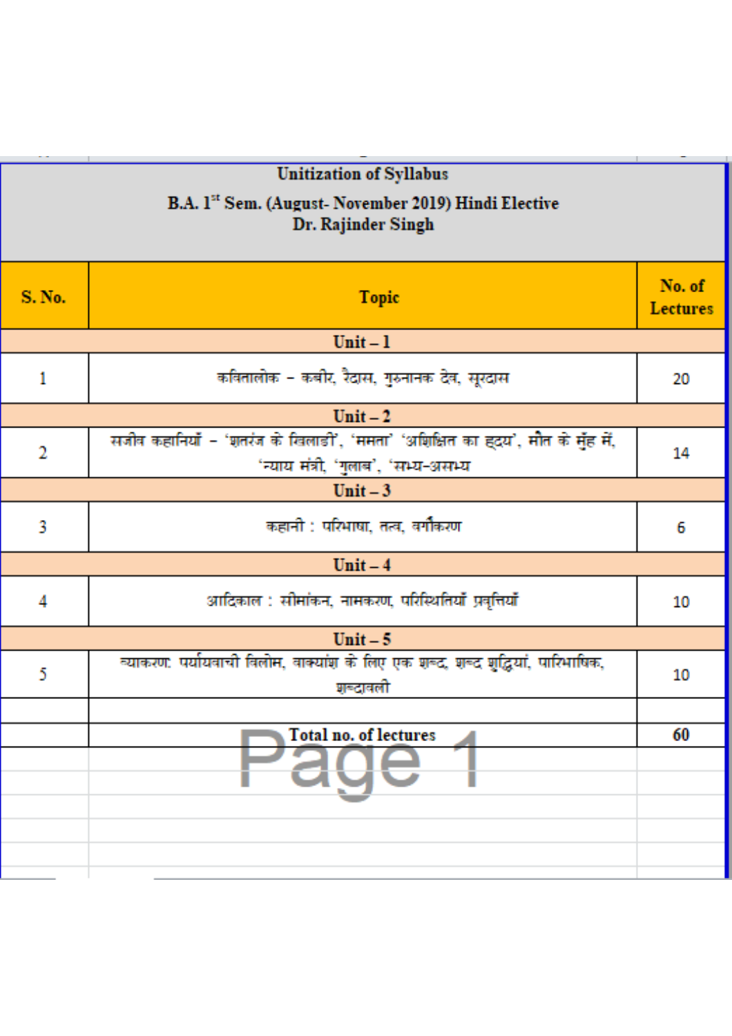|               | Unitization of Syllabus<br>B.A. 1 <sup>32</sup> Sem. (August-November 2019) Hindi Elective<br>Dr. Rajinder Singh      |                           |
|---------------|-----------------------------------------------------------------------------------------------------------------------|---------------------------|
| <b>S. No.</b> | <b>Topic</b>                                                                                                          | No. of<br><b>Lectures</b> |
|               | $Unit - 1$                                                                                                            |                           |
| 1             | कवितालोक - कबीर, रैदास, गुरुनानक देव, सूरदास                                                                          | 20                        |
|               | Unit $-2$                                                                                                             |                           |
| 2             | सजीव कहानियाँ - 'शतरंज के खिलाडी', 'ममता' 'अशिक्षित का ह्दय', मौत के मुँह में,<br>'न्याय मंत्री, 'गुलाब', 'सभ्य-असभ्य | 14                        |
|               | Unit $-3$                                                                                                             |                           |
| 3             | कहानी : परिभाषा, तत्व, वर्गौकरण                                                                                       | 6                         |
|               | $Unit - 4$                                                                                                            |                           |
| 4             | आदिकाल : सीमांकन, नामकरण, परिस्थितियाँ प्रवृत्तियाँ                                                                   | 10                        |
|               | Unit $-5$                                                                                                             |                           |
| 5             | व्याकरण: पर्यायवाची विलोम, वाक्यांश के लिए एक शब्द, शब्द शुद्धियां, पारिभाषिक,<br>ग्र≖दावली                           | 10                        |
|               |                                                                                                                       |                           |
|               | <b>Total no. of lectures</b>                                                                                          | 60                        |
|               |                                                                                                                       |                           |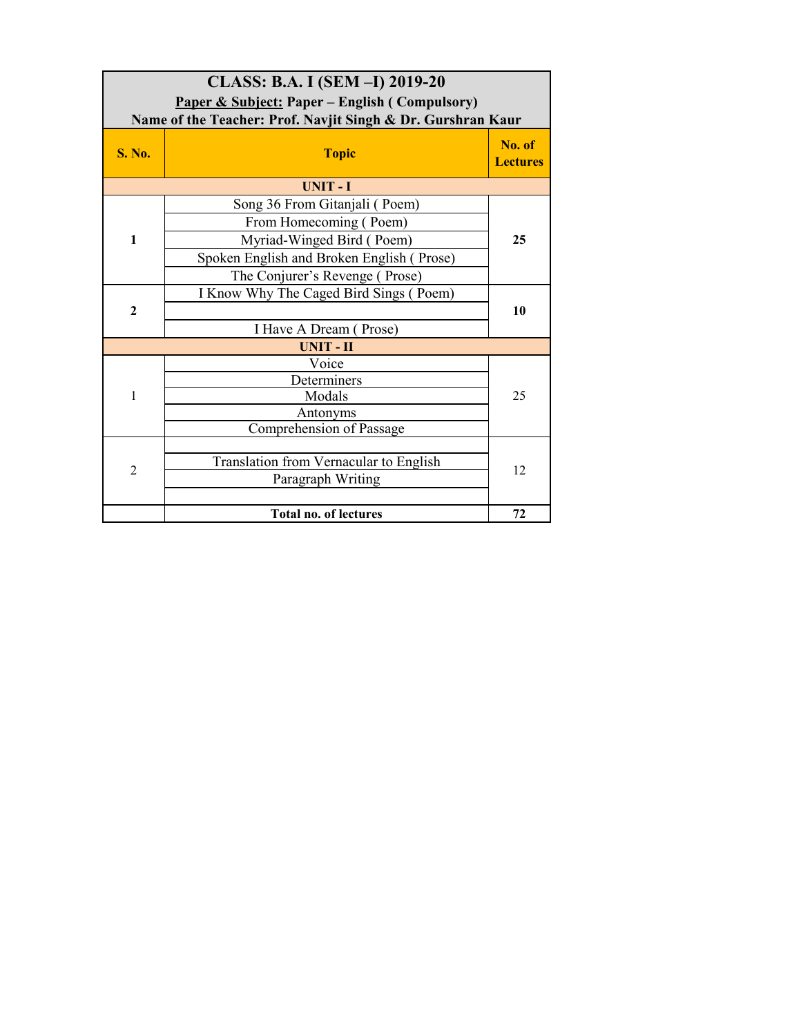| CLASS: B.A. I (SEM -I) 2019-20<br><b>Paper &amp; Subject: Paper – English (Compulsory)</b><br>Name of the Teacher: Prof. Navjit Singh & Dr. Gurshran Kaur |                                           |                           |
|-----------------------------------------------------------------------------------------------------------------------------------------------------------|-------------------------------------------|---------------------------|
| <b>S. No.</b>                                                                                                                                             | <b>Topic</b>                              | No. of<br><b>Lectures</b> |
|                                                                                                                                                           | <b>UNIT-I</b>                             |                           |
|                                                                                                                                                           | Song 36 From Gitanjali (Poem)             |                           |
|                                                                                                                                                           | From Homecoming (Poem)                    |                           |
| $\mathbf{1}$                                                                                                                                              | Myriad-Winged Bird (Poem)                 | 25                        |
|                                                                                                                                                           | Spoken English and Broken English (Prose) |                           |
|                                                                                                                                                           | The Conjurer's Revenge (Prose)            |                           |
|                                                                                                                                                           | I Know Why The Caged Bird Sings (Poem)    |                           |
| $\mathbf{2}$                                                                                                                                              |                                           | 10                        |
|                                                                                                                                                           | I Have A Dream (Prose)                    |                           |
|                                                                                                                                                           | <b>UNIT-II</b>                            |                           |
|                                                                                                                                                           | Voice                                     |                           |
|                                                                                                                                                           | Determiners                               | 25                        |
| 1                                                                                                                                                         | Modals                                    |                           |
|                                                                                                                                                           | Antonyms                                  |                           |
|                                                                                                                                                           | Comprehension of Passage                  |                           |
|                                                                                                                                                           | Translation from Vernacular to English    |                           |
| $\overline{2}$                                                                                                                                            |                                           | 12                        |
|                                                                                                                                                           | Paragraph Writing                         |                           |
|                                                                                                                                                           | <b>Total no. of lectures</b>              | 72                        |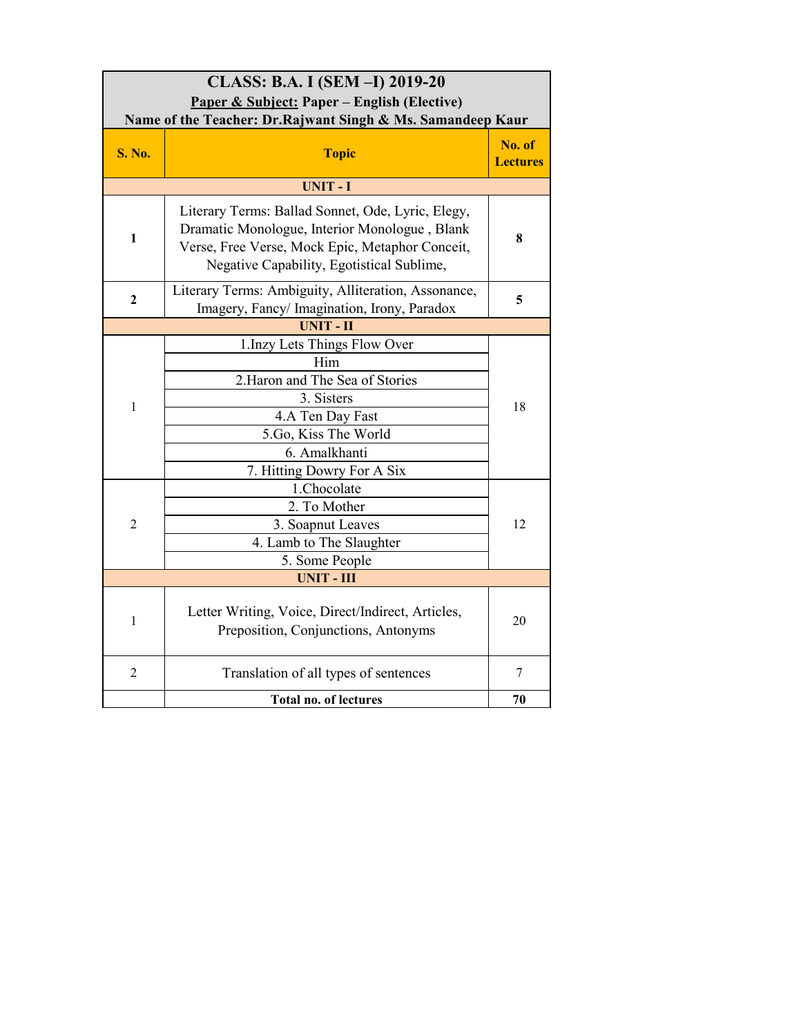| CLASS: B.A. I (SEM -I) 2019-20<br>Paper & Subject: Paper – English (Elective)<br>Name of the Teacher: Dr.Rajwant Singh & Ms. Samandeep Kaur |                                                                                                                                                                                                    |                           |
|---------------------------------------------------------------------------------------------------------------------------------------------|----------------------------------------------------------------------------------------------------------------------------------------------------------------------------------------------------|---------------------------|
| <b>S. No.</b>                                                                                                                               | <b>Topic</b>                                                                                                                                                                                       | No. of<br><b>Lectures</b> |
|                                                                                                                                             | UNIT-I                                                                                                                                                                                             |                           |
| 1                                                                                                                                           | Literary Terms: Ballad Sonnet, Ode, Lyric, Elegy,<br>Dramatic Monologue, Interior Monologue, Blank<br>Verse, Free Verse, Mock Epic, Metaphor Conceit,<br>Negative Capability, Egotistical Sublime, | 8                         |
| $\overline{2}$                                                                                                                              | Literary Terms: Ambiguity, Alliteration, Assonance,<br>Imagery, Fancy/ Imagination, Irony, Paradox                                                                                                 | 5                         |
|                                                                                                                                             | <b>UNIT - II</b>                                                                                                                                                                                   |                           |
| $\mathbf{1}$                                                                                                                                | 1. Inzy Lets Things Flow Over<br>Him<br>2. Haron and The Sea of Stories<br>3. Sisters<br>4.A Ten Day Fast<br>5.Go, Kiss The World<br>6. Amalkhanti<br>7. Hitting Dowry For A Six                   | 18                        |
| 2                                                                                                                                           | 1.Chocolate<br>2. To Mother<br>3. Soapnut Leaves<br>4. Lamb to The Slaughter<br>5. Some People                                                                                                     | 12                        |
|                                                                                                                                             | <b>UNIT - III</b>                                                                                                                                                                                  |                           |
| $\mathbf{1}$                                                                                                                                | Letter Writing, Voice, Direct/Indirect, Articles,<br>Preposition, Conjunctions, Antonyms                                                                                                           | 20                        |
| $\overline{c}$                                                                                                                              | Translation of all types of sentences                                                                                                                                                              | 7                         |
|                                                                                                                                             | <b>Total no. of lectures</b>                                                                                                                                                                       | 70                        |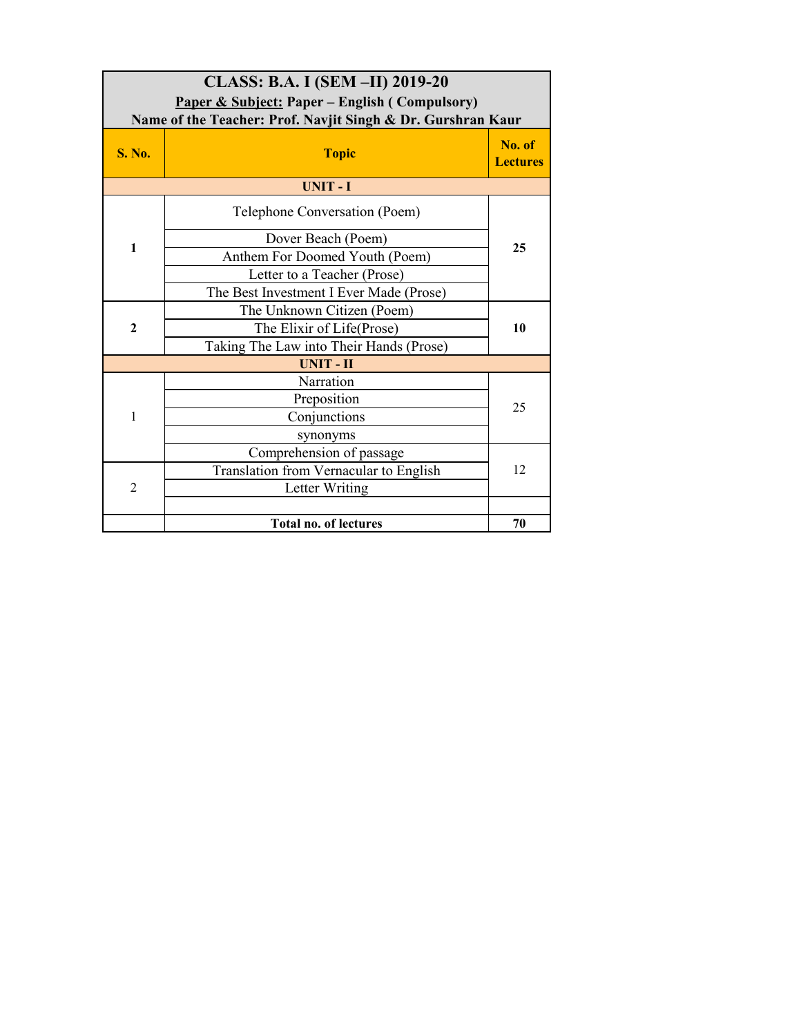| CLASS: B.A. I (SEM -II) 2019-20<br><b>Paper &amp; Subject: Paper – English (Compulsory)</b><br>Name of the Teacher: Prof. Navjit Singh & Dr. Gurshran Kaur |                                         |                           |
|------------------------------------------------------------------------------------------------------------------------------------------------------------|-----------------------------------------|---------------------------|
| <b>S. No.</b>                                                                                                                                              | <b>Topic</b>                            | No. of<br><b>Lectures</b> |
|                                                                                                                                                            | <b>UNIT-I</b>                           |                           |
|                                                                                                                                                            | Telephone Conversation (Poem)           |                           |
|                                                                                                                                                            | Dover Beach (Poem)                      |                           |
| $\mathbf{1}$                                                                                                                                               | Anthem For Doomed Youth (Poem)          | 25                        |
|                                                                                                                                                            | Letter to a Teacher (Prose)             |                           |
|                                                                                                                                                            | The Best Investment I Ever Made (Prose) |                           |
|                                                                                                                                                            | The Unknown Citizen (Poem)              |                           |
| $\overline{2}$                                                                                                                                             | The Elixir of Life(Prose)               | 10                        |
|                                                                                                                                                            | Taking The Law into Their Hands (Prose) |                           |
|                                                                                                                                                            | <b>UNIT-II</b>                          |                           |
|                                                                                                                                                            | Narration                               |                           |
|                                                                                                                                                            | Preposition                             | 25                        |
| 1                                                                                                                                                          | Conjunctions                            |                           |
|                                                                                                                                                            | synonyms                                |                           |
|                                                                                                                                                            | Comprehension of passage                |                           |
|                                                                                                                                                            | Translation from Vernacular to English  | 12                        |
| $\overline{2}$                                                                                                                                             | Letter Writing                          |                           |
|                                                                                                                                                            |                                         |                           |
|                                                                                                                                                            | <b>Total no. of lectures</b>            | 70                        |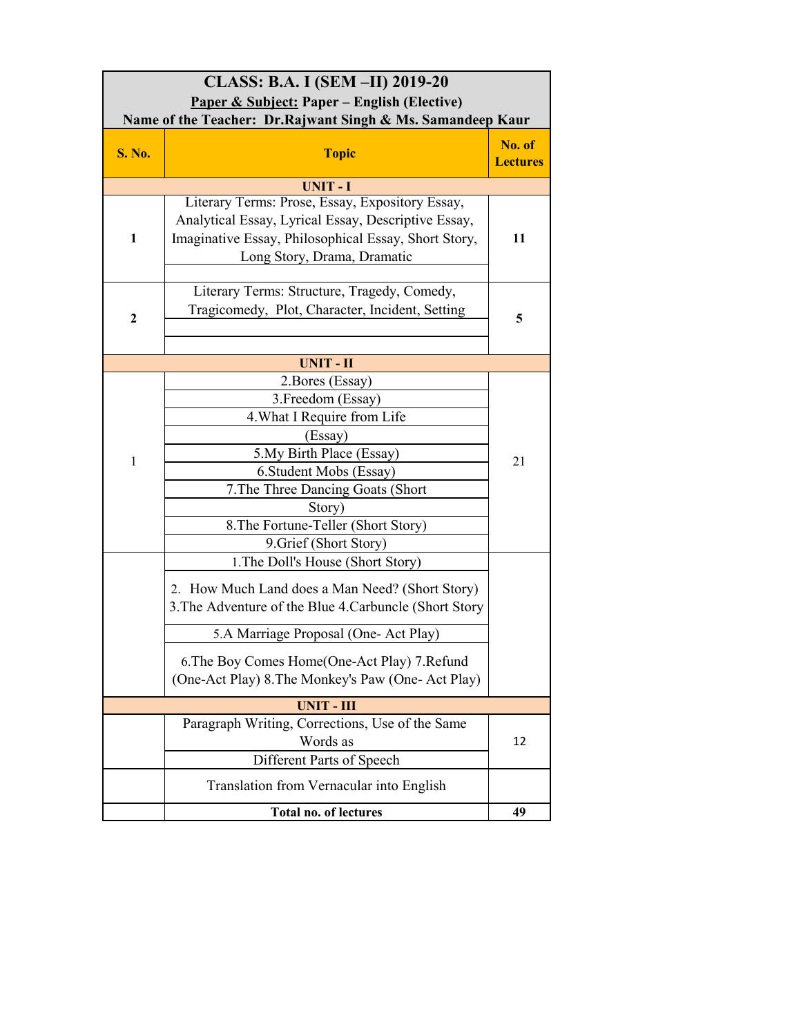| CLASS: B.A. I (SEM -II) 2019-20<br>Paper & Subject: Paper – English (Elective)<br>Name of the Teacher: Dr.Rajwant Singh & Ms. Samandeep Kaur |                                                                                                                                                                                                                                                                                                                                                                                                                                                                                                                                                          |                           |
|----------------------------------------------------------------------------------------------------------------------------------------------|----------------------------------------------------------------------------------------------------------------------------------------------------------------------------------------------------------------------------------------------------------------------------------------------------------------------------------------------------------------------------------------------------------------------------------------------------------------------------------------------------------------------------------------------------------|---------------------------|
| <b>S. No.</b>                                                                                                                                | <b>Topic</b>                                                                                                                                                                                                                                                                                                                                                                                                                                                                                                                                             | No. of<br><b>Lectures</b> |
|                                                                                                                                              | <b>UNIT-I</b>                                                                                                                                                                                                                                                                                                                                                                                                                                                                                                                                            |                           |
| 1                                                                                                                                            | Literary Terms: Prose, Essay, Expository Essay,<br>Analytical Essay, Lyrical Essay, Descriptive Essay,<br>Imaginative Essay, Philosophical Essay, Short Story,<br>Long Story, Drama, Dramatic                                                                                                                                                                                                                                                                                                                                                            | 11                        |
| $\mathbf{2}$                                                                                                                                 | Literary Terms: Structure, Tragedy, Comedy,<br>Tragicomedy, Plot, Character, Incident, Setting                                                                                                                                                                                                                                                                                                                                                                                                                                                           | 5                         |
|                                                                                                                                              | <b>UNIT - II</b>                                                                                                                                                                                                                                                                                                                                                                                                                                                                                                                                         |                           |
| 1                                                                                                                                            | 2. Bores (Essay)<br>3. Freedom (Essay)<br>4. What I Require from Life<br>(Essay)<br>5. My Birth Place (Essay)<br>6. Student Mobs (Essay)<br>7. The Three Dancing Goats (Short<br>Story)<br>8. The Fortune-Teller (Short Story)<br>9. Grief (Short Story)<br>1. The Doll's House (Short Story)<br>2. How Much Land does a Man Need? (Short Story)<br>3. The Adventure of the Blue 4. Carbuncle (Short Story<br>5.A Marriage Proposal (One-Act Play)<br>6. The Boy Comes Home(One-Act Play) 7. Refund<br>(One-Act Play) 8. The Monkey's Paw (One-Act Play) | 21                        |
|                                                                                                                                              | <b>UNIT - III</b>                                                                                                                                                                                                                                                                                                                                                                                                                                                                                                                                        |                           |
|                                                                                                                                              | Paragraph Writing, Corrections, Use of the Same<br>Words as<br>Different Parts of Speech                                                                                                                                                                                                                                                                                                                                                                                                                                                                 | 12                        |
|                                                                                                                                              | Translation from Vernacular into English                                                                                                                                                                                                                                                                                                                                                                                                                                                                                                                 |                           |
|                                                                                                                                              | Total no. of lectures                                                                                                                                                                                                                                                                                                                                                                                                                                                                                                                                    | 49                        |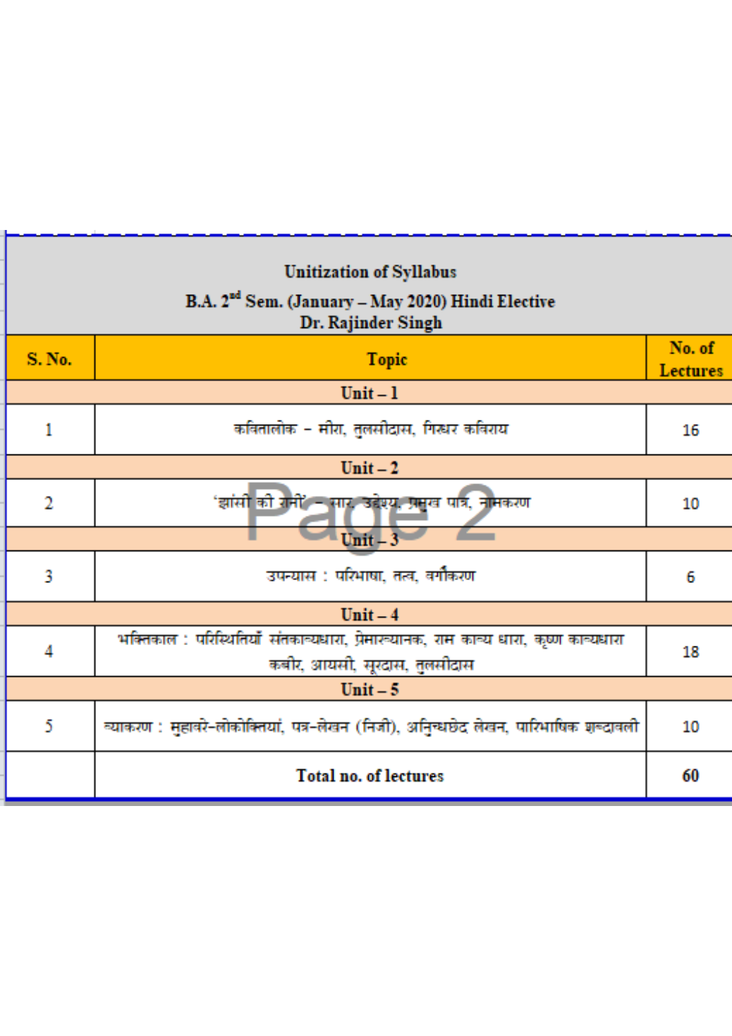| <b>Unitization of Syllabus</b><br>B.A. 2 <sup>nd</sup> Sem. (January – May 2020) Hindi Elective<br>Dr. Rajinder Singh |                                                                                                                     |                           |
|-----------------------------------------------------------------------------------------------------------------------|---------------------------------------------------------------------------------------------------------------------|---------------------------|
| <b>S. No.</b>                                                                                                         | <b>Topic</b>                                                                                                        | No. of<br><b>Lectures</b> |
|                                                                                                                       | $Unit - 1$                                                                                                          |                           |
| 1                                                                                                                     | कवितालोक - मीरा, तुलसीदास, गिरूपर कविराय                                                                            | 16                        |
|                                                                                                                       | $Unit - 2$                                                                                                          |                           |
| $\overline{2}$                                                                                                        | 'झांसी <mark>की रा</mark> नी' – सार, उद्देश्यू, प्रमुख पात्र, नामकरण                                                | 10                        |
| $Unit - 3$                                                                                                            |                                                                                                                     |                           |
| 3                                                                                                                     | उपन्यास : परिभाषा, तत्व, वर्गौकरण                                                                                   | 6                         |
|                                                                                                                       | $Unit - 4$                                                                                                          |                           |
| 4                                                                                                                     | भक्तिकाल : परिस्थितियाँ संतकाव्यधारा, प्रेमारूयानक, राम काव्य धारा, कृष्ण काव्यधारा<br>कबीर, आयसी, सूरदास, तुलसीदास | 18                        |
|                                                                                                                       | $Unit - 5$                                                                                                          |                           |
| 5                                                                                                                     | व्याकरण : मुहावरे-लोकोक्तियां, पत्र-लेखन (निजी), अनुिन्धछेद लेखन, पारिभाषिक शब्दावली                                | 10                        |
|                                                                                                                       | <b>Total no. of lectures</b>                                                                                        | 60                        |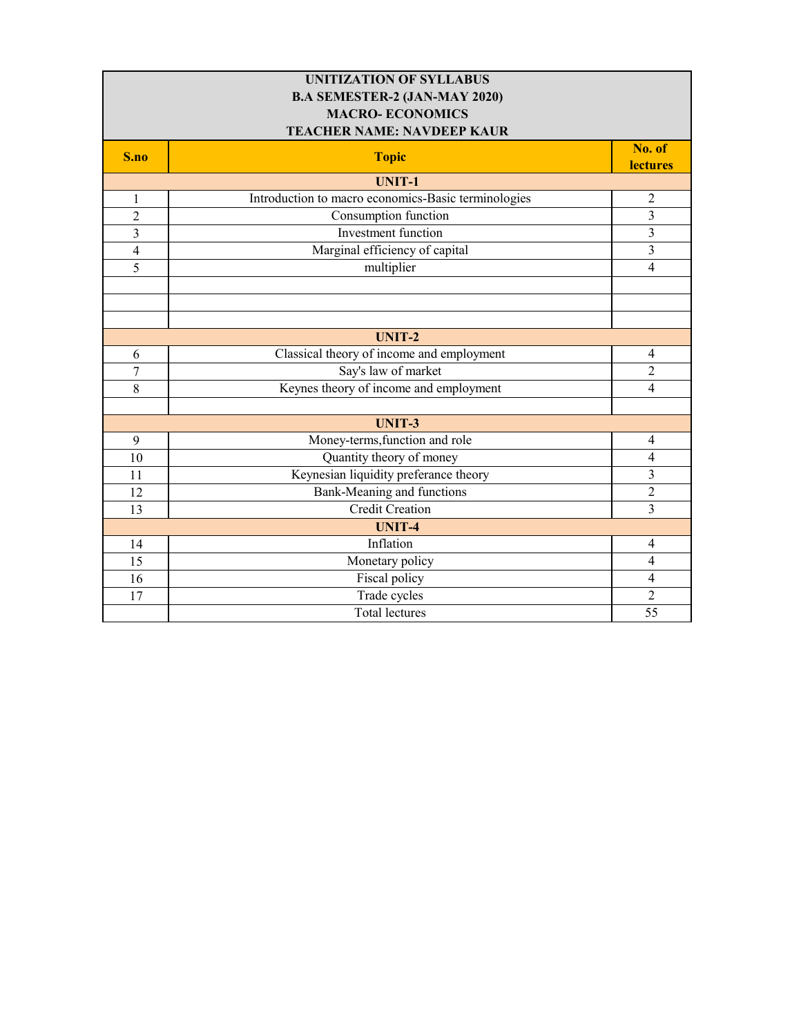| <b>UNITIZATION OF SYLLABUS</b>       |                                                     |                           |  |
|--------------------------------------|-----------------------------------------------------|---------------------------|--|
| <b>B.A SEMESTER-2 (JAN-MAY 2020)</b> |                                                     |                           |  |
| <b>MACRO-ECONOMICS</b>               |                                                     |                           |  |
| <b>TEACHER NAME: NAVDEEP KAUR</b>    |                                                     |                           |  |
| S.no                                 | <b>Topic</b>                                        | No. of<br><b>lectures</b> |  |
|                                      | <b>UNIT-1</b>                                       |                           |  |
| 1                                    | Introduction to macro economics-Basic terminologies | $\overline{2}$            |  |
| $\overline{c}$                       | Consumption function                                | 3                         |  |
| $\overline{\mathbf{3}}$              | <b>Investment</b> function                          | $\overline{3}$            |  |
| $\overline{\mathcal{A}}$             | Marginal efficiency of capital                      | $\overline{3}$            |  |
| 5                                    | multiplier                                          | $\overline{4}$            |  |
|                                      |                                                     |                           |  |
|                                      |                                                     |                           |  |
|                                      |                                                     |                           |  |
|                                      | <b>UNIT-2</b>                                       |                           |  |
| 6                                    | Classical theory of income and employment           | $\overline{4}$            |  |
| $\overline{7}$                       | Say's law of market                                 | $\overline{2}$            |  |
| 8                                    | Keynes theory of income and employment              | $\overline{4}$            |  |
|                                      |                                                     |                           |  |
|                                      | <b>UNIT-3</b>                                       |                           |  |
| $\boldsymbol{9}$                     | Money-terms, function and role                      | $\overline{4}$            |  |
| 10                                   | Quantity theory of money                            | $\overline{4}$            |  |
| 11                                   | Keynesian liquidity preferance theory               | $\overline{3}$            |  |
| 12                                   | Bank-Meaning and functions                          | $\overline{2}$            |  |
| 13                                   | <b>Credit Creation</b>                              | $\overline{3}$            |  |
|                                      | <b>UNIT-4</b>                                       |                           |  |
| 14                                   | Inflation                                           | $\overline{4}$            |  |
| 15                                   | Monetary policy                                     | $\overline{4}$            |  |
| 16                                   | Fiscal policy                                       | $\overline{4}$            |  |
| 17                                   | Trade cycles                                        | $\overline{2}$            |  |
|                                      | <b>Total lectures</b>                               | 55                        |  |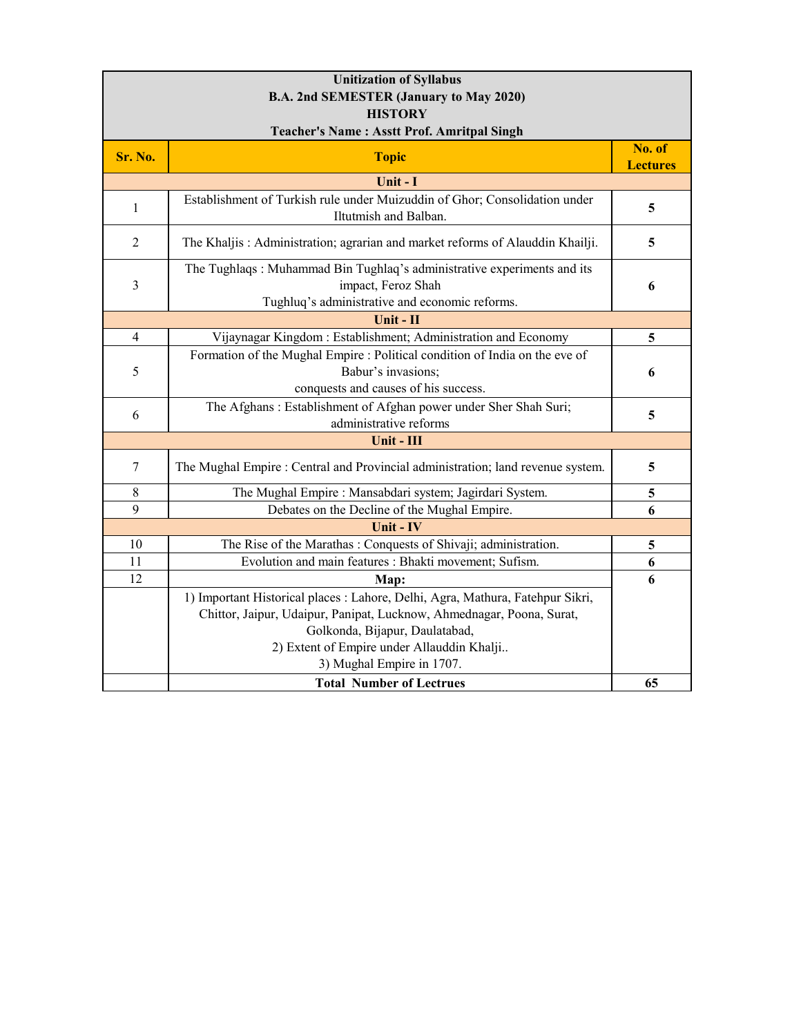| <b>Unitization of Syllabus</b>                    |                                                                                                     |                           |
|---------------------------------------------------|-----------------------------------------------------------------------------------------------------|---------------------------|
| B.A. 2nd SEMESTER (January to May 2020)           |                                                                                                     |                           |
| <b>HISTORY</b>                                    |                                                                                                     |                           |
| <b>Teacher's Name: Asstt Prof. Amritpal Singh</b> |                                                                                                     |                           |
| Sr. No.                                           | <b>Topic</b>                                                                                        | No. of<br><b>Lectures</b> |
|                                                   | Unit - I                                                                                            |                           |
| $\mathbf{1}$                                      | Establishment of Turkish rule under Muizuddin of Ghor; Consolidation under<br>Iltutmish and Balban. | 5                         |
| $\overline{2}$                                    | The Khaljis: Administration; agrarian and market reforms of Alauddin Khailji.                       | 5                         |
|                                                   | The Tughlaqs: Muhammad Bin Tughlaq's administrative experiments and its                             |                           |
| $\mathfrak{Z}$                                    | impact, Feroz Shah                                                                                  | 6                         |
|                                                   | Tughluq's administrative and economic reforms.                                                      |                           |
|                                                   | Unit - II                                                                                           |                           |
| $\overline{\mathcal{A}}$                          | Vijaynagar Kingdom: Establishment; Administration and Economy                                       | 5                         |
|                                                   | Formation of the Mughal Empire : Political condition of India on the eve of                         |                           |
| 5                                                 | Babur's invasions;<br>conquests and causes of his success.                                          | 6                         |
|                                                   | The Afghans: Establishment of Afghan power under Sher Shah Suri;                                    |                           |
| 6                                                 | administrative reforms                                                                              | 5                         |
|                                                   | Unit - III                                                                                          |                           |
| $\tau$                                            | The Mughal Empire : Central and Provincial administration; land revenue system.                     | 5                         |
| 8                                                 | The Mughal Empire : Mansabdari system; Jagirdari System.                                            | 5                         |
| 9                                                 | Debates on the Decline of the Mughal Empire.                                                        | 6                         |
|                                                   | Unit - IV                                                                                           |                           |
| 10                                                | The Rise of the Marathas: Conquests of Shivaji; administration.                                     | 5                         |
| 11                                                | Evolution and main features : Bhakti movement; Sufism.                                              | 6                         |
| 12                                                | Map:                                                                                                | 6                         |
|                                                   | 1) Important Historical places : Lahore, Delhi, Agra, Mathura, Fatehpur Sikri,                      |                           |
|                                                   | Chittor, Jaipur, Udaipur, Panipat, Lucknow, Ahmednagar, Poona, Surat,                               |                           |
|                                                   | Golkonda, Bijapur, Daulatabad,                                                                      |                           |
|                                                   | 2) Extent of Empire under Allauddin Khalji                                                          |                           |
|                                                   | 3) Mughal Empire in 1707.                                                                           |                           |
|                                                   | <b>Total Number of Lectrues</b>                                                                     | 65                        |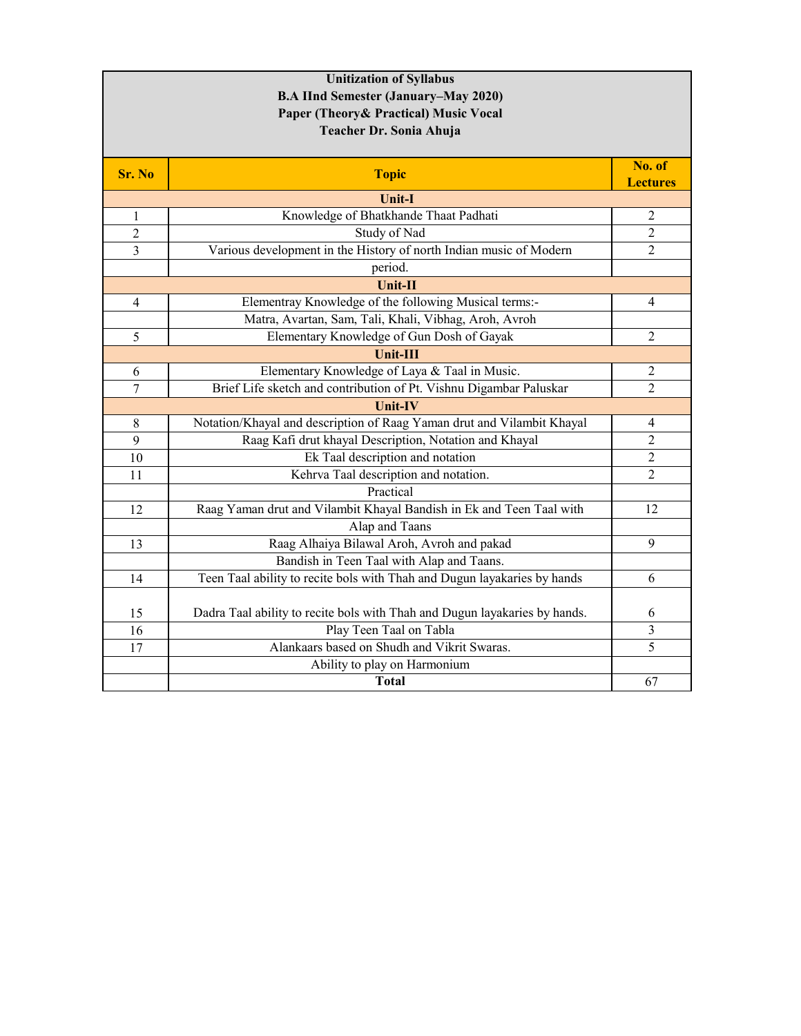| <b>B.A IInd Semester (January–May 2020)</b><br>Paper (Theory & Practical) Music Vocal     |  |
|-------------------------------------------------------------------------------------------|--|
|                                                                                           |  |
|                                                                                           |  |
| Teacher Dr. Sonia Ahuja                                                                   |  |
|                                                                                           |  |
| No. of<br>Sr. No<br><b>Topic</b><br><b>Lectures</b>                                       |  |
| <b>Unit-I</b>                                                                             |  |
| Knowledge of Bhatkhande Thaat Padhati<br>$\overline{2}$<br>1                              |  |
| Study of Nad<br>$\overline{2}$<br>$\overline{2}$                                          |  |
| Various development in the History of north Indian music of Modern<br>2<br>3              |  |
| period.                                                                                   |  |
| Unit-II                                                                                   |  |
| Elementray Knowledge of the following Musical terms:-<br>$\overline{4}$<br>4              |  |
| Matra, Avartan, Sam, Tali, Khali, Vibhag, Aroh, Avroh                                     |  |
| Elementary Knowledge of Gun Dosh of Gayak<br>$\overline{2}$<br>5                          |  |
| Unit-III                                                                                  |  |
| Elementary Knowledge of Laya & Taal in Music.<br>2<br>6                                   |  |
| Brief Life sketch and contribution of Pt. Vishnu Digambar Paluskar<br>$\overline{2}$<br>7 |  |
| Unit-IV                                                                                   |  |
| Notation/Khayal and description of Raag Yaman drut and Vilambit Khayal<br>4<br>8          |  |
| Raag Kafi drut khayal Description, Notation and Khayal<br>$\overline{2}$<br>9             |  |
| Ek Taal description and notation<br>$\overline{2}$<br>10                                  |  |
| Kehrva Taal description and notation.<br>2<br>11                                          |  |
| Practical                                                                                 |  |
| Raag Yaman drut and Vilambit Khayal Bandish in Ek and Teen Taal with<br>12<br>12          |  |
| Alap and Taans                                                                            |  |
| Raag Alhaiya Bilawal Aroh, Avroh and pakad<br>9<br>13                                     |  |
| Bandish in Teen Taal with Alap and Taans.                                                 |  |
| Teen Taal ability to recite bols with Thah and Dugun layakaries by hands<br>14<br>6       |  |
| Dadra Taal ability to recite bols with Thah and Dugun layakaries by hands.<br>15<br>6     |  |
| Play Teen Taal on Tabla<br>3<br>16                                                        |  |
| Alankaars based on Shudh and Vikrit Swaras.<br>5<br>17                                    |  |
| Ability to play on Harmonium                                                              |  |
| 67<br><b>Total</b>                                                                        |  |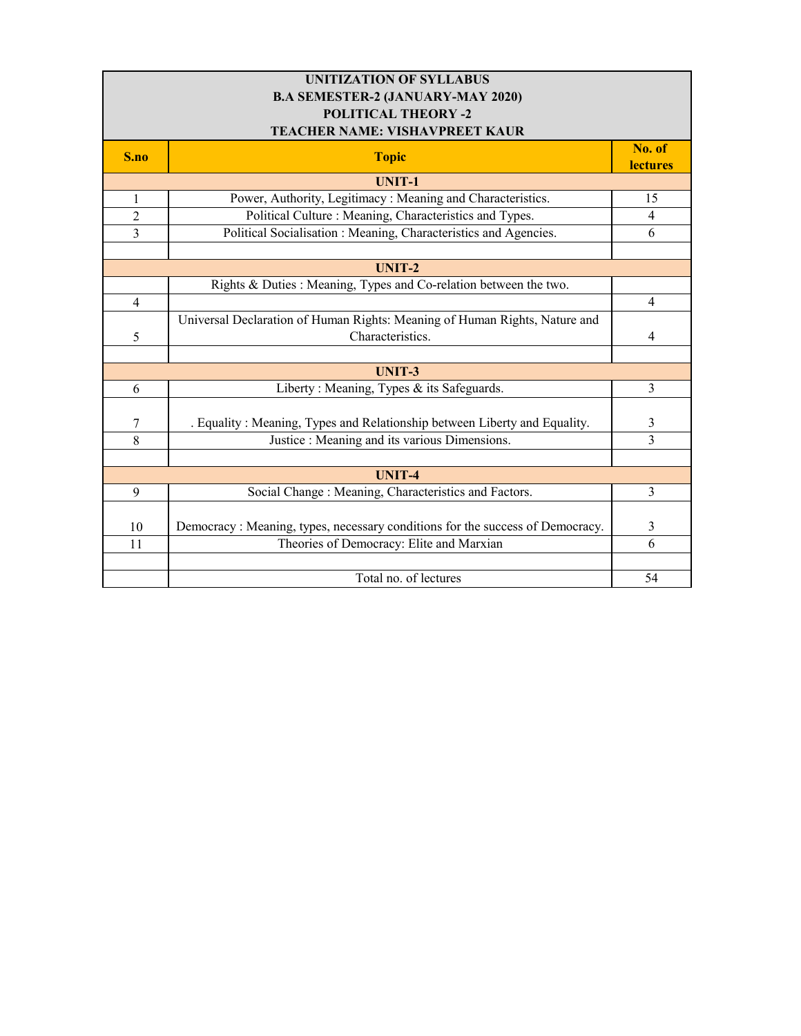| <b>UNITIZATION OF SYLLABUS</b>           |                                                                                |                |
|------------------------------------------|--------------------------------------------------------------------------------|----------------|
| <b>B.A SEMESTER-2 (JANUARY-MAY 2020)</b> |                                                                                |                |
| <b>POLITICAL THEORY -2</b>               |                                                                                |                |
| TEACHER NAME: VISHAVPREET KAUR           |                                                                                |                |
| S.no                                     | <b>Topic</b>                                                                   | No. of         |
|                                          |                                                                                | lectures       |
| $\mathbf{1}$                             | <b>UNIT-1</b><br>Power, Authority, Legitimacy: Meaning and Characteristics.    | 15             |
|                                          |                                                                                |                |
| $\overline{c}$                           | Political Culture: Meaning, Characteristics and Types.                         | 4              |
| $\overline{3}$                           | Political Socialisation : Meaning, Characteristics and Agencies.               | 6              |
|                                          |                                                                                |                |
| <b>UNIT-2</b>                            |                                                                                |                |
|                                          | Rights & Duties : Meaning, Types and Co-relation between the two.              |                |
| $\overline{4}$                           |                                                                                | $\overline{4}$ |
|                                          | Universal Declaration of Human Rights: Meaning of Human Rights, Nature and     |                |
| 5                                        | Characteristics.                                                               | $\overline{4}$ |
|                                          |                                                                                |                |
|                                          | <b>UNIT-3</b>                                                                  |                |
| 6                                        | Liberty: Meaning, Types & its Safeguards.                                      | 3              |
|                                          |                                                                                |                |
| $\tau$                                   | . Equality: Meaning, Types and Relationship between Liberty and Equality.      | 3              |
| 8                                        | Justice : Meaning and its various Dimensions.                                  | 3              |
|                                          |                                                                                |                |
|                                          | <b>UNIT-4</b>                                                                  |                |
| 9                                        | Social Change : Meaning, Characteristics and Factors.                          | $\mathbf{3}$   |
|                                          |                                                                                |                |
| 10                                       | Democracy : Meaning, types, necessary conditions for the success of Democracy. | $\mathfrak{Z}$ |
| 11                                       | Theories of Democracy: Elite and Marxian                                       | 6              |
|                                          |                                                                                |                |
|                                          | Total no. of lectures                                                          | 54             |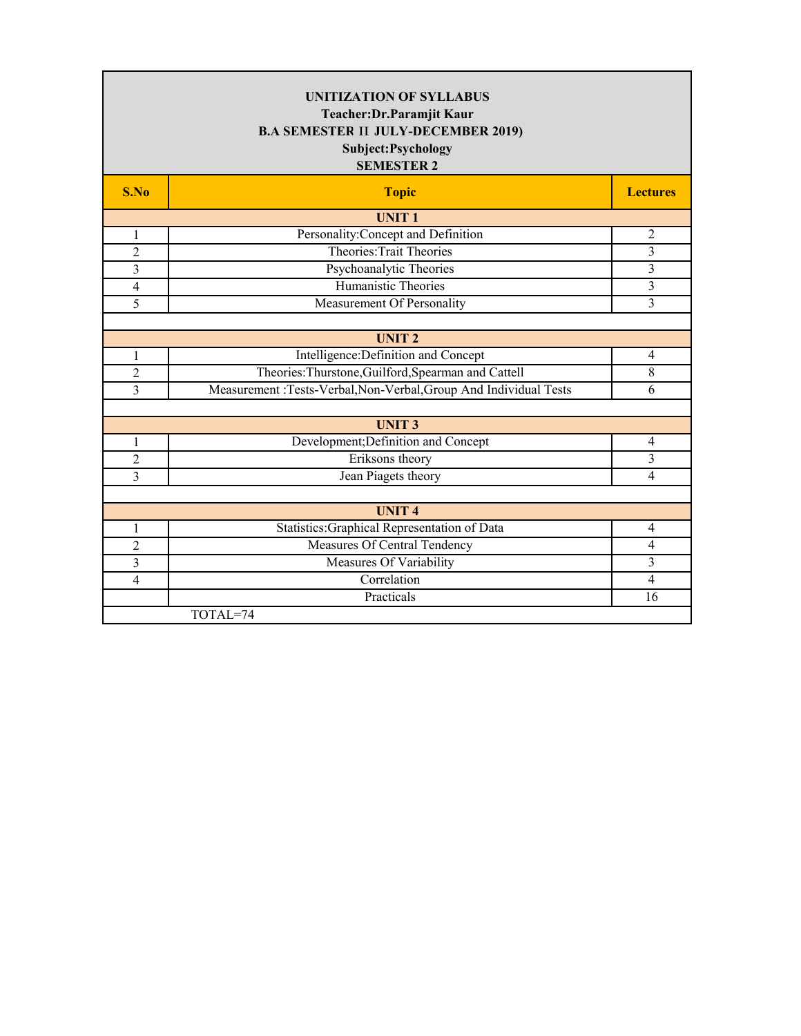| <b>UNITIZATION OF SYLLABUS</b><br>Teacher: Dr. Paramjit Kaur<br><b>B.A SEMESTER II JULY-DECEMBER 2019)</b><br>Subject: Psychology<br><b>SEMESTER 2</b> |                                                                   |                 |  |
|--------------------------------------------------------------------------------------------------------------------------------------------------------|-------------------------------------------------------------------|-----------------|--|
| S.No                                                                                                                                                   | <b>Topic</b>                                                      | <b>Lectures</b> |  |
|                                                                                                                                                        | <b>UNIT1</b>                                                      |                 |  |
| 1                                                                                                                                                      | Personality: Concept and Definition                               | $\overline{2}$  |  |
| $\overline{2}$                                                                                                                                         | Theories: Trait Theories                                          | 3               |  |
| 3                                                                                                                                                      | Psychoanalytic Theories                                           | $\mathfrak{Z}$  |  |
| $\overline{\mathcal{L}}$                                                                                                                               | Humanistic Theories                                               | $\overline{3}$  |  |
| 5                                                                                                                                                      | Measurement Of Personality                                        | 3               |  |
|                                                                                                                                                        |                                                                   |                 |  |
|                                                                                                                                                        | <b>UNIT2</b>                                                      |                 |  |
| 1                                                                                                                                                      | Intelligence: Definition and Concept                              | $\overline{4}$  |  |
| $\overline{2}$                                                                                                                                         | Theories: Thurstone, Guilford, Spearman and Cattell               | $\overline{8}$  |  |
| 3                                                                                                                                                      | Measurement :Tests-Verbal, Non-Verbal, Group And Individual Tests | 6               |  |
|                                                                                                                                                        |                                                                   |                 |  |
|                                                                                                                                                        | <b>UNIT3</b>                                                      |                 |  |
| 1                                                                                                                                                      | Development; Definition and Concept                               | $\overline{4}$  |  |
| $\overline{c}$                                                                                                                                         | Eriksons theory                                                   | 3               |  |
| 3                                                                                                                                                      | Jean Piagets theory                                               | $\overline{4}$  |  |
|                                                                                                                                                        |                                                                   |                 |  |
|                                                                                                                                                        | <b>UNIT4</b>                                                      |                 |  |
| $\mathbf{1}$                                                                                                                                           | Statistics: Graphical Representation of Data                      | $\overline{4}$  |  |
| $\overline{c}$                                                                                                                                         | Measures Of Central Tendency                                      | 4               |  |
| 3                                                                                                                                                      | Measures Of Variability                                           | $\overline{3}$  |  |
| $\overline{4}$                                                                                                                                         | Correlation                                                       | $\overline{4}$  |  |
|                                                                                                                                                        | Practicals                                                        | 16              |  |
|                                                                                                                                                        | TOTAL=74                                                          |                 |  |